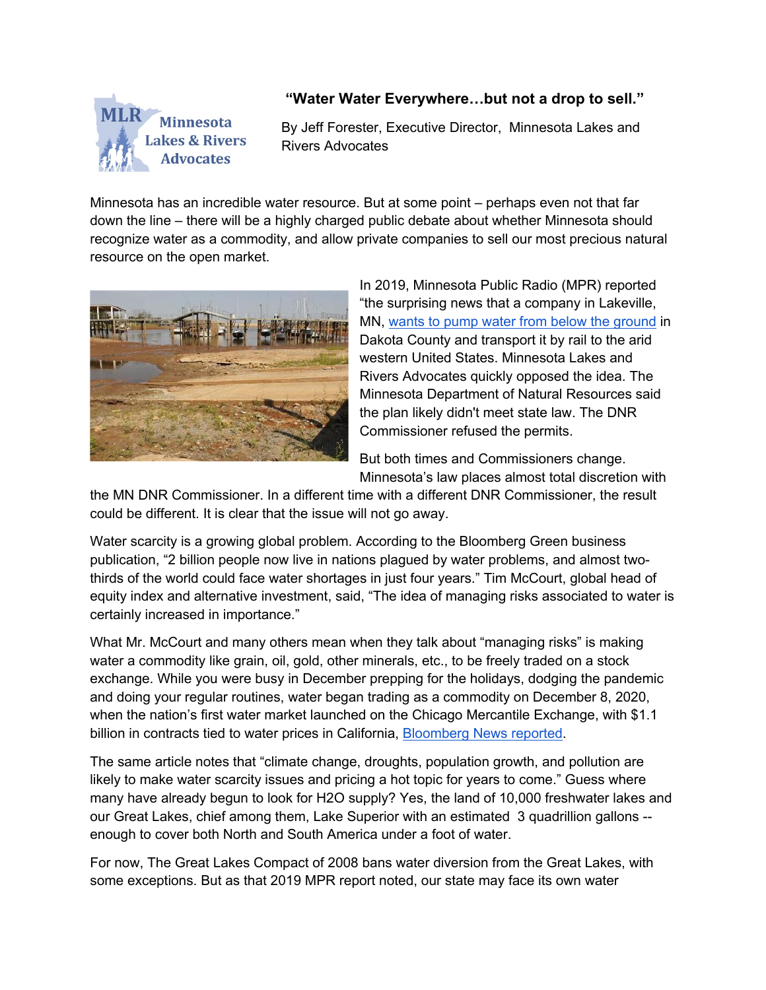

## **"Water Water Everywhere…but not a drop to sell."**

By Jeff Forester, Executive Director, Minnesota Lakes and Rivers Advocates

Minnesota has an incredible water resource. But at some point – perhaps even not that far down the line – there will be a highly charged public debate about whether Minnesota should recognize water as a commodity, and allow private companies to sell our most precious natural resource on the open market.



In 2019, Minnesota Public Radio (MPR) reported "the surprising news that a company in Lakeville, MN, wants to pump water from below the ground in Dakota County and transport it by rail to the arid western United States. Minnesota Lakes and Rivers Advocates quickly opposed the idea. The Minnesota Department of Natural Resources said the plan likely didn't meet state law. The DNR Commissioner refused the permits.

But both times and Commissioners change. Minnesota's law places almost total discretion with

the MN DNR Commissioner. In a different time with a different DNR Commissioner, the result could be different. It is clear that the issue will not go away.

Water scarcity is a growing global problem. According to the Bloomberg Green business publication, "2 billion people now live in nations plagued by water problems, and almost twothirds of the world could face water shortages in just four years." Tim McCourt, global head of equity index and alternative investment, said, "The idea of managing risks associated to water is certainly increased in importance."

What Mr. McCourt and many others mean when they talk about "managing risks" is making water a commodity like grain, oil, gold, other minerals, etc., to be freely traded on a stock exchange. While you were busy in December prepping for the holidays, dodging the pandemic and doing your regular routines, water began trading as a commodity on December 8, 2020, when the nation's first water market launched on the Chicago Mercantile Exchange, with \$1.1 billion in contracts tied to water prices in California, Bloomberg News reported.

The same article notes that "climate change, droughts, population growth, and pollution are likely to make water scarcity issues and pricing a hot topic for years to come." Guess where many have already begun to look for H2O supply? Yes, the land of 10,000 freshwater lakes and our Great Lakes, chief among them, Lake Superior with an estimated 3 quadrillion gallons - enough to cover both North and South America under a foot of water.

For now, The Great Lakes Compact of 2008 bans water diversion from the Great Lakes, with some exceptions. But as that 2019 MPR report noted, our state may face its own water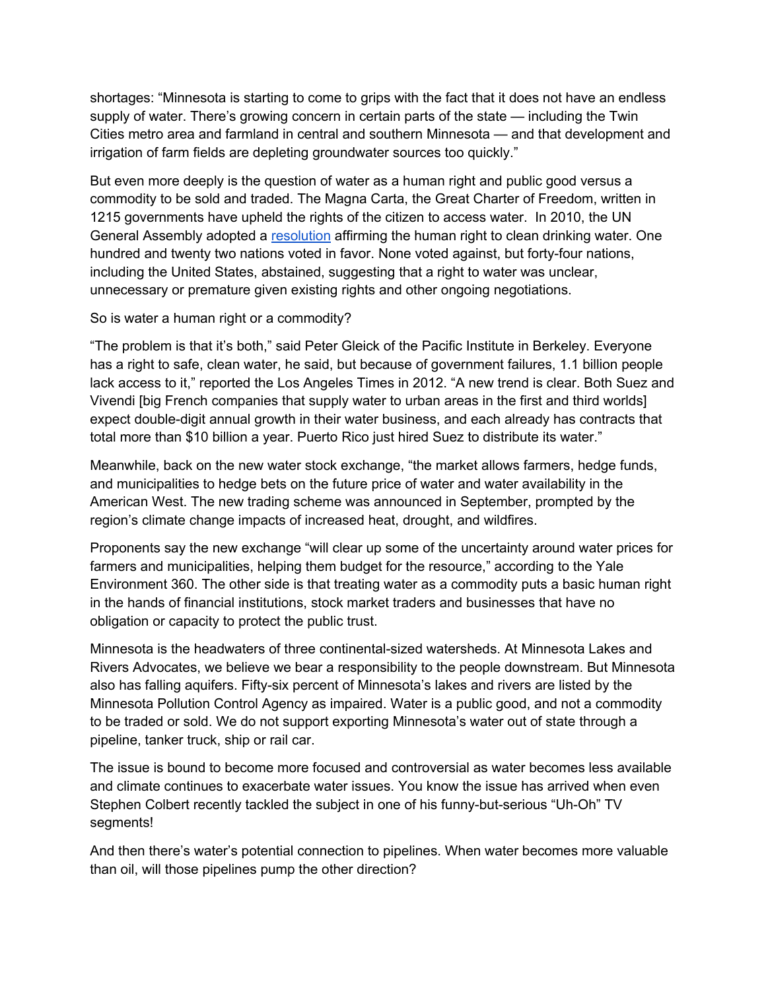shortages: "Minnesota is starting to come to grips with the fact that it does not have an endless supply of water. There's growing concern in certain parts of the state — including the Twin Cities metro area and farmland in central and southern Minnesota — and that development and irrigation of farm fields are depleting groundwater sources too quickly."

But even more deeply is the question of water as a human right and public good versus a commodity to be sold and traded. The Magna Carta, the Great Charter of Freedom, written in 1215 governments have upheld the rights of the citizen to access water. In 2010, the UN General Assembly adopted a resolution affirming the human right to clean drinking water. One hundred and twenty two nations voted in favor. None voted against, but forty-four nations, including the United States, abstained, suggesting that a right to water was unclear, unnecessary or premature given existing rights and other ongoing negotiations.

So is water a human right or a commodity?

"The problem is that it's both," said Peter Gleick of the Pacific Institute in Berkeley. Everyone has a right to safe, clean water, he said, but because of government failures, 1.1 billion people lack access to it," reported the Los Angeles Times in 2012. "A new trend is clear. Both Suez and Vivendi [big French companies that supply water to urban areas in the first and third worlds] expect double-digit annual growth in their water business, and each already has contracts that total more than \$10 billion a year. Puerto Rico just hired Suez to distribute its water."

Meanwhile, back on the new water stock exchange, "the market allows farmers, hedge funds, and municipalities to hedge bets on the future price of water and water availability in the American West. The new trading scheme was announced in September, prompted by the region's climate change impacts of increased heat, drought, and wildfires.

Proponents say the new exchange "will clear up some of the uncertainty around water prices for farmers and municipalities, helping them budget for the resource," according to the Yale Environment 360. The other side is that treating water as a commodity puts a basic human right in the hands of financial institutions, stock market traders and businesses that have no obligation or capacity to protect the public trust.

Minnesota is the headwaters of three continental-sized watersheds. At Minnesota Lakes and Rivers Advocates, we believe we bear a responsibility to the people downstream. But Minnesota also has falling aquifers. Fifty-six percent of Minnesota's lakes and rivers are listed by the Minnesota Pollution Control Agency as impaired. Water is a public good, and not a commodity to be traded or sold. We do not support exporting Minnesota's water out of state through a pipeline, tanker truck, ship or rail car.

The issue is bound to become more focused and controversial as water becomes less available and climate continues to exacerbate water issues. You know the issue has arrived when even Stephen Colbert recently tackled the subject in one of his funny-but-serious "Uh-Oh" TV segments!

And then there's water's potential connection to pipelines. When water becomes more valuable than oil, will those pipelines pump the other direction?